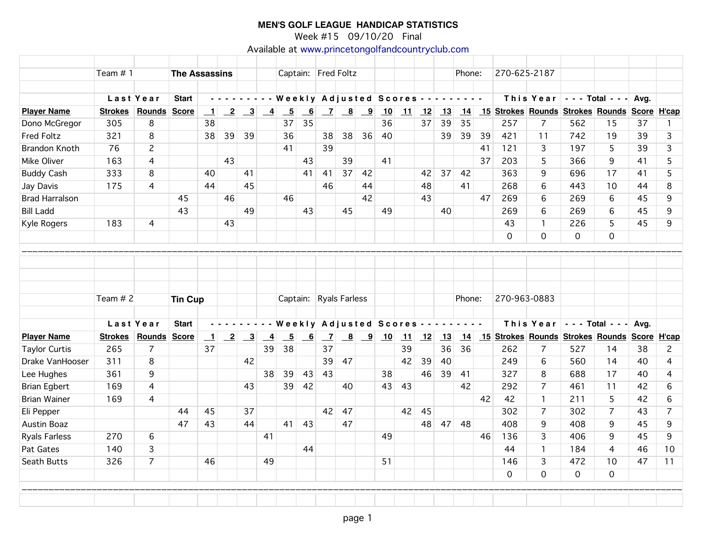Week #15 09/10/20 Final

Available at [www.princetongolfandcountryclub.com](http://www.princetongolfandcountryclub.com)

Г

|                       | Team #1        |                |                | <b>The Assassins</b>      |                 |                                                              |                |                                        |                 |                | Captain: Fred Foltz                                                 |               |    |    |    |    | Phone: |    | 270-625-2187 |                                                                           |          |                          |      |                |
|-----------------------|----------------|----------------|----------------|---------------------------|-----------------|--------------------------------------------------------------|----------------|----------------------------------------|-----------------|----------------|---------------------------------------------------------------------|---------------|----|----|----|----|--------|----|--------------|---------------------------------------------------------------------------|----------|--------------------------|------|----------------|
|                       |                | Last Year      | <b>Start</b>   |                           |                 | .                                                            |                | Weekly Adjusted Scores - - - - - - - - |                 |                |                                                                     |               |    |    |    |    |        |    |              | This Year                                                                 |          | $- - -$ Total $- -$ Avg. |      |                |
| <b>Player Name</b>    |                | Strokes Rounds | <b>Score</b>   | $\mathbf{\perp}$          |                 | $\begin{array}{ c c c c c }\n\hline\n2 & 3 & 4\n\end{array}$ |                | $\overline{-5}$                        | $\overline{6}$  |                | $\begin{array}{ c c c c c } \hline 7 & 8 & 9 \\ \hline \end{array}$ |               | 10 | 11 | 12 | 13 |        |    |              | 14 15 Strokes Rounds Strokes Rounds Score H'cap                           |          |                          |      |                |
| Dono McGregor         | 305            | 8              |                | 38                        |                 |                                                              |                | 37                                     | 35              |                |                                                                     |               | 36 |    | 37 | 39 | 35     |    | 257          | $\overline{7}$                                                            | 562      | 15                       | 37   | $\mathbf{1}$   |
| <b>Fred Foltz</b>     | 321            | 8              |                | 38                        | 39              | 39                                                           |                | 36                                     |                 | 38             | 38                                                                  | 36            | 40 |    |    | 39 | 39     | 39 | 421          | 11                                                                        | 742      | 19                       | 39   | 3              |
| <b>Brandon Knoth</b>  | 76             | $\overline{c}$ |                |                           |                 |                                                              |                | 41                                     |                 | 39             |                                                                     |               |    |    |    |    |        | 41 | 121          | 3                                                                         | 197      | 5                        | 39   | 3              |
| Mike Oliver           | 163            | 4              |                |                           | 43              |                                                              |                |                                        | 43              |                | 39                                                                  |               | 41 |    |    |    |        | 37 | 203          | 5                                                                         | 366      | 9                        | 41   | 5              |
| <b>Buddy Cash</b>     | 333            | 8              |                | 40                        |                 | 41                                                           |                |                                        | 41              | 41             | 37                                                                  | 42            |    |    | 42 | 37 | 42     |    | 363          | 9                                                                         | 696      | 17                       | 41   | 5              |
| Jay Davis             | 175            | 4              |                | 44                        |                 | 45                                                           |                |                                        |                 | 46             |                                                                     | 44            |    |    | 48 |    | 41     |    | 268          | 6                                                                         | 443      | 10                       | 44   | 8              |
| <b>Brad Harralson</b> |                |                | 45             |                           | 46              |                                                              |                | 46                                     |                 |                |                                                                     | 42            |    |    | 43 |    |        | 47 | 269          | 6                                                                         | 269      | 6                        | 45   | 9              |
| <b>Bill Ladd</b>      |                |                | 43             |                           |                 | 49                                                           |                |                                        | 43              |                | 45                                                                  |               | 49 |    |    | 40 |        |    | 269          | 6                                                                         | 269      | 6                        | 45   | 9              |
| Kyle Rogers           | 183            | 4              |                |                           | 43              |                                                              |                |                                        |                 |                |                                                                     |               |    |    |    |    |        |    | 43           | $\mathbf{1}$                                                              | 226      | 5                        | 45   | 9              |
|                       |                |                |                |                           |                 |                                                              |                |                                        |                 |                |                                                                     |               |    |    |    |    |        |    | $\Omega$     | $\Omega$                                                                  | 0        | $\overline{0}$           |      |                |
|                       |                |                |                |                           |                 |                                                              |                |                                        |                 |                |                                                                     |               |    |    |    |    |        |    |              |                                                                           |          |                          |      |                |
|                       |                |                |                |                           |                 |                                                              |                |                                        |                 |                |                                                                     |               |    |    |    |    |        |    |              |                                                                           |          |                          |      |                |
|                       |                |                |                |                           |                 |                                                              |                |                                        |                 |                |                                                                     |               |    |    |    |    |        |    |              |                                                                           |          |                          |      |                |
|                       | Team # 2       |                | <b>Tin Cup</b> |                           |                 |                                                              |                |                                        |                 |                | Captain: Ryals Farless                                              |               |    |    |    |    | Phone: |    | 270-963-0883 |                                                                           |          |                          |      |                |
|                       |                |                |                |                           |                 |                                                              |                |                                        |                 |                |                                                                     |               |    |    |    |    |        |    |              |                                                                           |          |                          |      |                |
|                       |                | Last Year      | <b>Start</b>   |                           |                 |                                                              |                | Weekly Adjusted Scores -               |                 |                |                                                                     |               |    |    |    |    |        |    |              | This Year $\vert \cdot \cdot \cdot$ Total $\vert \cdot \cdot \cdot \vert$ |          |                          | Avg. |                |
| <b>Player Name</b>    | <b>Strokes</b> | Rounds         | <b>Score</b>   | $\overline{\phantom{0}1}$ | $\overline{-2}$ | $\overline{\mathbf{3}}$                                      | $\overline{4}$ | $\underline{\phantom{a}}$              | $\overline{-6}$ | $\overline{z}$ |                                                                     | $\frac{8}{9}$ | 10 | 11 | 12 | 13 | 14     |    |              | 15 Strokes Rounds Strokes Rounds Score H'cap                              |          |                          |      |                |
| <b>Taylor Curtis</b>  | 265            | $\overline{7}$ |                | 37                        |                 |                                                              | 39             | 38                                     |                 | 37             |                                                                     |               |    | 39 |    | 36 | 36     |    | 262          | $\overline{7}$                                                            | 527      | 14                       | 38   | $\mathbf{2}$   |
| Drake VanHooser       | 311            | 8              |                |                           |                 | 42                                                           |                |                                        |                 | 39             | 47                                                                  |               |    | 42 | 39 | 40 |        |    | 249          | 6                                                                         | 560      | 14                       | 40   | 4              |
| Lee Hughes            | 361            | 9              |                |                           |                 |                                                              | 38             | 39                                     | 43              | 43             |                                                                     |               | 38 |    | 46 | 39 | 41     |    | 327          | 8                                                                         | 688      | 17                       | 40   | 4              |
| <b>Brian Egbert</b>   | 169            | $\overline{4}$ |                |                           |                 | 43                                                           |                | 39                                     | 42              |                | 40                                                                  |               | 43 | 43 |    |    | 42     |    | 292          | $\overline{7}$                                                            | 461      | 11                       | 42   | 6              |
| <b>Brian Wainer</b>   | 169            | 4              |                |                           |                 |                                                              |                |                                        |                 |                |                                                                     |               |    |    |    |    |        | 42 | 42           | $\mathbf{1}$                                                              | 211      | 5                        | 42   | 6              |
| Eli Pepper            |                |                | 44             | 45                        |                 | 37                                                           |                |                                        |                 | 42             | 47                                                                  |               |    | 42 | 45 |    |        |    | 302          | $\overline{7}$                                                            | 302      | $\overline{7}$           | 43   | $\overline{7}$ |
| Austin Boaz           |                |                | 47             | 43                        |                 | 44                                                           |                | 41                                     | 43              |                | 47                                                                  |               |    |    | 48 | 47 | 48     |    | 408          | 9                                                                         | 408      | 9                        | 45   | 9              |
| <b>Ryals Farless</b>  | 270            | 6              |                |                           |                 |                                                              | 41             |                                        |                 |                |                                                                     |               | 49 |    |    |    |        | 46 | 136          | 3                                                                         | 406      | 9                        | 45   | 9              |
| Pat Gates             | 140            | 3              |                |                           |                 |                                                              |                |                                        | 44              |                |                                                                     |               |    |    |    |    |        |    | 44           | $\mathbf{1}$                                                              | 184      | 4                        | 46   | 10             |
| Seath Butts           | 326            | $\overline{7}$ |                | 46                        |                 |                                                              | 49             |                                        |                 |                |                                                                     |               | 51 |    |    |    |        |    | 146          | 3                                                                         | 472      | 10                       | 47   | 11             |
|                       |                |                |                |                           |                 |                                                              |                |                                        |                 |                |                                                                     |               |    |    |    |    |        |    | $\Omega$     | $\Omega$                                                                  | $\Omega$ | $\Omega$                 |      |                |
|                       |                |                |                |                           |                 |                                                              |                |                                        |                 |                |                                                                     |               |    |    |    |    |        |    |              |                                                                           |          |                          |      |                |
|                       |                |                |                |                           |                 |                                                              |                |                                        |                 |                |                                                                     |               |    |    |    |    |        |    |              |                                                                           |          |                          |      |                |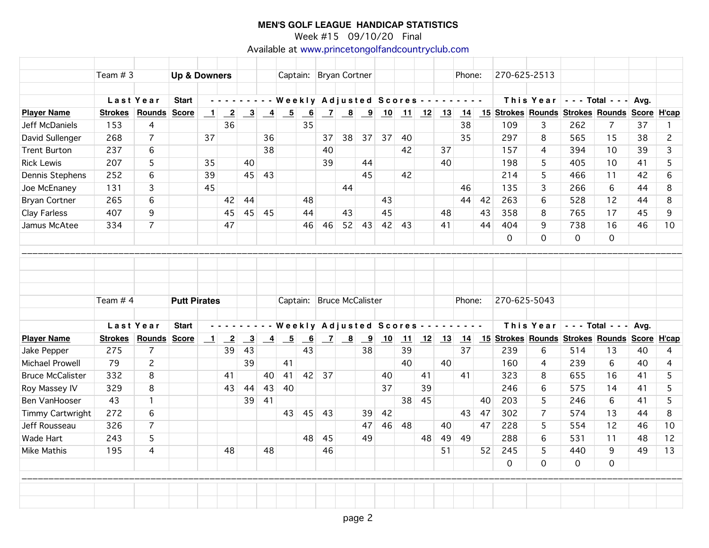Week #15 09/10/20 Final

Available at [www.princetongolfandcountryclub.com](http://www.princetongolfandcountryclub.com)

|                         | Team $# 3$     |                     |                         |         |                 |                         |                 |                                                                    |                           |                           |                                                                 |                         |                                            |            |    |         |        |    |              |          |                                                                          |             |    |                |
|-------------------------|----------------|---------------------|-------------------------|---------|-----------------|-------------------------|-----------------|--------------------------------------------------------------------|---------------------------|---------------------------|-----------------------------------------------------------------|-------------------------|--------------------------------------------|------------|----|---------|--------|----|--------------|----------|--------------------------------------------------------------------------|-------------|----|----------------|
|                         |                |                     | <b>Up &amp; Downers</b> |         |                 |                         |                 |                                                                    |                           | Captain: Bryan Cortner    |                                                                 |                         |                                            |            |    |         | Phone: |    | 270-625-2513 |          |                                                                          |             |    |                |
|                         |                |                     |                         |         |                 |                         |                 |                                                                    |                           |                           |                                                                 |                         |                                            |            |    |         |        |    |              |          |                                                                          |             |    |                |
|                         |                | Last Year           | <b>Start</b>            |         |                 |                         |                 |                                                                    |                           |                           |                                                                 |                         | --------- Weekly Adjusted Scores --------- |            |    |         |        |    |              |          | This Year $\vert$ - - - Total - - - Avg.                                 |             |    |                |
| <b>Player Name</b>      | <b>Strokes</b> | <b>Rounds</b>       | <b>Score</b>            | $\perp$ | $\overline{-2}$ |                         |                 | $\begin{array}{ c c c c c } \hline 3 & 4 & 5 \ \hline \end{array}$ | 6                         |                           |                                                                 |                         |                                            |            |    |         |        |    |              |          | <u>7 8 9 10 11 12 13 14 15 Strokes Rounds Strokes Rounds Score H'cap</u> |             |    |                |
| Jeff McDaniels          | 153            | 4                   |                         |         | 36              |                         |                 |                                                                    | 35                        |                           |                                                                 |                         |                                            |            |    |         | 38     |    | 109          | 3        | 262                                                                      | 7           | 37 | $\mathbf{1}$   |
| David Sullenger         | 268            | $\overline{7}$      |                         | 37      |                 |                         | 36              |                                                                    |                           | 37                        | 38                                                              | 37                      | 37                                         | 40         |    |         | 35     |    | 297          | 8        | 565                                                                      | 15          | 38 | $\overline{c}$ |
| <b>Trent Burton</b>     | 237            | 6                   |                         |         |                 |                         | 38              |                                                                    |                           | 40                        |                                                                 |                         |                                            | 42         |    | 37      |        |    | 157          | 4        | 394                                                                      | 10          | 39 | 3              |
| <b>Rick Lewis</b>       | 207            | 5                   |                         | 35      |                 | 40                      |                 |                                                                    |                           | 39                        |                                                                 | 44                      |                                            |            |    | 40      |        |    | 198          | 5.       | 405                                                                      | 10          | 41 | 5              |
| Dennis Stephens         | 252            | 6                   |                         | 39      |                 | 45                      | 43              |                                                                    |                           |                           |                                                                 | 45                      |                                            | 42         |    |         |        |    | 214          | 5        | 466                                                                      | 11          | 42 | 6              |
| Joe McEnaney            | 131            | 3                   |                         | 45      |                 |                         |                 |                                                                    |                           |                           | 44                                                              |                         |                                            |            |    |         | 46     |    | 135          | 3        | 266                                                                      | 6           | 44 | 8              |
| <b>Bryan Cortner</b>    | 265            | 6                   |                         |         | 42              | 44                      |                 |                                                                    | 48                        |                           |                                                                 |                         | 43                                         |            |    |         | 44     | 42 | 263          | 6        | 528                                                                      | 12          | 44 | 8              |
| Clay Farless            | 407            | 9                   |                         |         | 45              | 45                      | -45             |                                                                    | 44                        |                           | 43                                                              |                         | 45                                         |            |    | 48      |        | 43 | 358          | 8        | 765                                                                      | 17          | 45 | 9              |
| Jamus McAtee            | 334            | $\overline{7}$      |                         |         | 47              |                         |                 |                                                                    | 46                        | 46                        | 52                                                              | 43                      | 42                                         | 43         |    | 41      |        | 44 | 404          | 9        | 738                                                                      | 16          | 46 | 10             |
|                         |                |                     |                         |         |                 |                         |                 |                                                                    |                           |                           |                                                                 |                         |                                            |            |    |         |        |    | $\mathsf{O}$ | $\Omega$ | $\mathbf 0$                                                              | $\mathbf 0$ |    |                |
|                         |                |                     |                         |         |                 |                         |                 |                                                                    |                           |                           |                                                                 |                         |                                            |            |    |         |        |    |              |          |                                                                          |             |    |                |
|                         |                |                     |                         |         |                 |                         |                 |                                                                    |                           |                           |                                                                 |                         |                                            |            |    |         |        |    |              |          |                                                                          |             |    |                |
|                         |                |                     |                         |         |                 |                         |                 |                                                                    |                           |                           |                                                                 |                         |                                            |            |    |         |        |    |              |          |                                                                          |             |    |                |
|                         |                |                     |                         |         |                 |                         |                 |                                                                    |                           |                           |                                                                 |                         |                                            |            |    |         |        |    |              |          |                                                                          |             |    |                |
|                         | Team $# 4$     |                     | <b>Putt Pirates</b>     |         |                 |                         |                 |                                                                    |                           | Captain: Bruce McCalister |                                                                 |                         |                                            |            |    |         | Phone: |    | 270-625-5043 |          |                                                                          |             |    |                |
|                         |                |                     |                         |         |                 |                         |                 |                                                                    |                           |                           |                                                                 |                         |                                            |            |    |         |        |    |              |          |                                                                          |             |    |                |
|                         |                | Last Year           | <b>Start</b>            |         |                 |                         |                 | Weekly Adjusted Scores - - - - - - - -                             |                           |                           |                                                                 |                         |                                            |            |    |         |        |    |              |          | This Year $\vert$ - - - Total - - - Avg.                                 |             |    |                |
| <b>Player Name</b>      | <b>Strokes</b> | <b>Rounds Score</b> |                         | $\perp$ | $\overline{-2}$ | $\overline{\mathbf{3}}$ | $\overline{-4}$ | $-5$                                                               | $\underline{\phantom{a}}$ |                           | $\begin{array}{ c c c c c } \hline 7 & 8 \\ \hline \end{array}$ | $\overline{\mathbf{9}}$ | 10                                         | $\vert$ 11 |    | $12$ 13 | 14     |    |              |          | 15 Strokes Rounds Strokes Rounds Score H'cap                             |             |    |                |
| Jake Pepper             | 275            | $\overline{7}$      |                         |         | 39              | 43                      |                 |                                                                    | 43                        |                           |                                                                 | 38                      |                                            | 39         |    |         | 37     |    | 239          | 6        | 514                                                                      | 13          | 40 | 4              |
| <b>Michael Prowell</b>  | 79             | $\overline{c}$      |                         |         |                 | 39                      |                 | 41                                                                 |                           |                           |                                                                 |                         |                                            | 40         |    | 40      |        |    | 160          | 4        | 239                                                                      | 6           | 40 | 4              |
| <b>Bruce McCalister</b> | 332            | 8                   |                         |         | 41              |                         | 40              | 41                                                                 |                           | 42 37                     |                                                                 |                         | 40                                         |            | 41 |         | 41     |    | 323          | 8        | 655                                                                      | 16          | 41 | 5              |
| Roy Massey IV           | 329            | 8                   |                         |         | 43              | 44                      | 43              | 40                                                                 |                           |                           |                                                                 |                         | 37                                         |            | 39 |         |        |    | 246          | 6        | 575                                                                      | 14          | 41 | 5              |
| Ben VanHooser           | 43             | $\mathbf{1}$        |                         |         |                 | 39                      | 41              |                                                                    |                           |                           |                                                                 |                         |                                            | 38         | 45 |         |        | 40 | 203          | 5        | 246                                                                      | 6           | 41 | 5              |
| Timmy Cartwright        | 272            | 6                   |                         |         |                 |                         |                 | 43                                                                 | 45                        | -43                       |                                                                 | 39                      | 42                                         |            |    |         | 43     | 47 | 302          | 7        | 574                                                                      | 13          | 44 | 8              |
| Jeff Rousseau           | 326            | $\overline{7}$      |                         |         |                 |                         |                 |                                                                    |                           |                           |                                                                 | 47                      | 46                                         | 48         |    | 40      |        | 47 | 228          | 5        | 554                                                                      | 12          | 46 | 10             |
| <b>Wade Hart</b>        | 243            | 5                   |                         |         |                 |                         |                 |                                                                    | 48                        | 45                        |                                                                 | 49                      |                                            |            | 48 | 49      | 49     |    | 288          | 6        | 531                                                                      | 11          | 48 | 12             |
| Mike Mathis             | 195            | $\overline{4}$      |                         |         | 48              |                         | 48              |                                                                    |                           | 46                        |                                                                 |                         |                                            |            |    | 51      |        | 52 | 245          | 5        | 440                                                                      | 9           | 49 | 13             |
|                         |                |                     |                         |         |                 |                         |                 |                                                                    |                           |                           |                                                                 |                         |                                            |            |    |         |        |    | $\mathsf{O}$ | 0        | 0                                                                        | $\mathbf 0$ |    |                |
|                         |                |                     |                         |         |                 |                         |                 |                                                                    |                           |                           |                                                                 |                         |                                            |            |    |         |        |    |              |          |                                                                          |             |    |                |
|                         |                |                     |                         |         |                 |                         |                 |                                                                    |                           |                           |                                                                 |                         |                                            |            |    |         |        |    |              |          |                                                                          |             |    |                |
|                         |                |                     |                         |         |                 |                         |                 |                                                                    |                           |                           |                                                                 |                         |                                            |            |    |         |        |    |              |          |                                                                          |             |    |                |
|                         |                |                     |                         |         |                 |                         |                 |                                                                    |                           |                           |                                                                 |                         |                                            |            |    |         |        |    |              |          |                                                                          |             |    |                |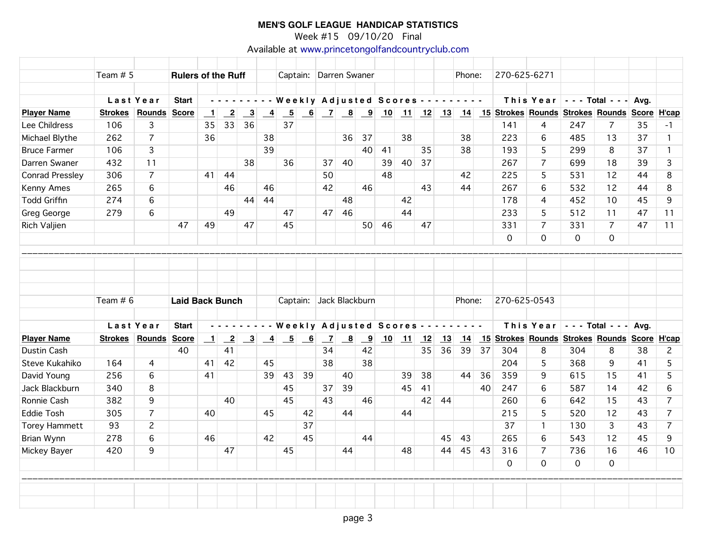Week #15 09/10/20 Final

Available at [www.princetongolfandcountryclub.com](http://www.princetongolfandcountryclub.com)

|                      | Team $# 5$     |                 |                        | <b>Rulers of the Ruff</b> |                 |                         |                                                             |                 |    |                | Captain: Darren Swaner                   |                         |    |         |    |    | Phone:                                     |       | 270-625-6271 |                                                                          |                        |                |    |                 |
|----------------------|----------------|-----------------|------------------------|---------------------------|-----------------|-------------------------|-------------------------------------------------------------|-----------------|----|----------------|------------------------------------------|-------------------------|----|---------|----|----|--------------------------------------------|-------|--------------|--------------------------------------------------------------------------|------------------------|----------------|----|-----------------|
|                      |                | Last Year       | <b>Start</b>           |                           |                 |                         |                                                             |                 |    |                |                                          |                         |    |         |    |    | --------- Weekly Adjusted Scores --------- |       |              | This Year                                                                | $- -$ Total - - - Avg. |                |    |                 |
| <b>Player Name</b>   | <b>Strokes</b> | Rounds Score    |                        | $\mathbf{\perp}$          | $\overline{-2}$ | $\overline{\mathbf{3}}$ | $\overline{-4}$                                             | $\overline{-5}$ | 6  |                |                                          |                         |    |         |    |    |                                            |       |              | <u>7 8 9 10 11 12 13 14 15 Strokes Rounds Strokes Rounds Score H'cap</u> |                        |                |    |                 |
| Lee Childress        | 106            | 3               |                        | 35                        | 33              | 36                      |                                                             | 37              |    |                |                                          |                         |    |         |    |    |                                            |       | 141          | 4                                                                        | 247                    | 7              | 35 | $-1$            |
| Michael Blythe       | 262            | $\overline{7}$  |                        | 36                        |                 |                         | 38                                                          |                 |    |                | 36                                       | 37                      |    | 38      |    |    | 38                                         |       | 223          | 6                                                                        | 485                    | 13             | 37 | $\mathbf{1}$    |
| <b>Bruce Farmer</b>  | 106            | 3               |                        |                           |                 |                         | 39                                                          |                 |    |                |                                          | 40                      | 41 |         | 35 |    | 38                                         |       | 193          | 5                                                                        | 299                    | 8              | 37 | $\mathbf{1}$    |
| Darren Swaner        | 432            | 11              |                        |                           |                 | 38                      |                                                             | 36              |    | 37             | 40                                       |                         | 39 | 40      | 37 |    |                                            |       | 267          | $\overline{7}$                                                           | 699                    | 18             | 39 | $\overline{3}$  |
| Conrad Pressley      | 306            | $\overline{7}$  |                        | 41                        | 44              |                         |                                                             |                 |    | 50             |                                          |                         | 48 |         |    |    | 42                                         |       | 225          | 5                                                                        | 531                    | 12             | 44 | 8               |
| <b>Kenny Ames</b>    | 265            | 6               |                        |                           | 46              |                         | 46                                                          |                 |    | 42             |                                          | 46                      |    |         | 43 |    | 44                                         |       | 267          | 6                                                                        | 532                    | 12             | 44 | 8               |
| <b>Todd Griffin</b>  | 274            | 6               |                        |                           |                 |                         | 44 44                                                       |                 |    |                | 48                                       |                         |    | 42      |    |    |                                            |       | 178          | 4                                                                        | 452                    | 10             | 45 | 9               |
| Greg George          | 279            | 6               |                        |                           | 49              |                         |                                                             | 47              |    | 47             | 46                                       |                         |    | 44      |    |    |                                            |       | 233          | 5                                                                        | 512                    | 11             | 47 | 11              |
| Rich Valjien         |                |                 | 47                     | 49                        |                 | 47                      |                                                             | 45              |    |                |                                          | 50                      | 46 |         | 47 |    |                                            |       | 331          | $\overline{7}$                                                           | 331                    | $\overline{7}$ | 47 | 11              |
|                      |                |                 |                        |                           |                 |                         |                                                             |                 |    |                |                                          |                         |    |         |    |    |                                            |       | $\mathsf{O}$ | $\Omega$                                                                 | $\mathbf{O}$           | $\mathbf 0$    |    |                 |
|                      |                |                 |                        |                           |                 |                         |                                                             |                 |    |                |                                          |                         |    |         |    |    |                                            |       |              |                                                                          |                        |                |    |                 |
|                      | Team $# 6$     |                 | <b>Laid Back Bunch</b> |                           |                 |                         |                                                             |                 |    |                | Captain: Jack Blackburn                  |                         |    |         |    |    | Phone:                                     |       | 270-625-0543 |                                                                          |                        |                |    |                 |
|                      |                |                 |                        |                           |                 |                         |                                                             |                 |    |                |                                          |                         |    |         |    |    |                                            |       |              |                                                                          |                        |                |    |                 |
|                      |                | Last Year       | <b>Start</b>           |                           | <u>.</u>        |                         |                                                             |                 |    |                | - Weekly Adjusted Scores - - - - - - - - |                         |    |         |    |    |                                            |       |              | This Year - - - Total - - - Avg.                                         |                        |                |    |                 |
| <b>Player Name</b>   |                | Strokes Rounds  | <b>Score</b>           | $\perp$                   | $\overline{-2}$ |                         | $\begin{array}{ c c c } \hline 3 & 4 \\ \hline \end{array}$ | $\overline{-5}$ | 6  | $\overline{z}$ | $\overline{\mathbf{8}}$                  | $\overline{\mathbf{9}}$ |    | $10$ 11 | 12 | 13 | 14                                         |       |              | 15 Strokes Rounds Strokes Rounds Score H'cap                             |                        |                |    |                 |
| <b>Dustin Cash</b>   |                |                 | 40                     |                           | 41              |                         |                                                             |                 |    | 34             |                                          | 42                      |    |         | 35 | 36 |                                            | 39 37 | 304          | 8                                                                        | 304                    | 8              | 38 | $\overline{2}$  |
| Steve Kukahiko       | 164            | 4               |                        | 41                        | 42              |                         | 45                                                          |                 |    | 38             |                                          | 38                      |    |         |    |    |                                            |       | 204          | 5                                                                        | 368                    | 9              | 41 | 5               |
| David Young          | 256            | 6               |                        | 41                        |                 |                         | 39                                                          | 43              | 39 |                | 40                                       |                         |    | 39      | 38 |    | 44                                         | 36    | 359          | 9                                                                        | 615                    | 15             | 41 | 5               |
| Jack Blackburn       | 340            | 8               |                        |                           |                 |                         |                                                             | 45              |    | 37             | 39                                       |                         |    | 45      | 41 |    |                                            | 40    | 247          | 6                                                                        | 587                    | 14             | 42 | $6\overline{6}$ |
| Ronnie Cash          | 382            | 9               |                        |                           | 40              |                         |                                                             | 45              |    | 43             |                                          | 46                      |    |         | 42 | 44 |                                            |       | 260          | 6                                                                        | 642                    | 15             | 43 | $\overline{7}$  |
| <b>Eddie Tosh</b>    | 305            | $\overline{7}$  |                        | 40                        |                 |                         | 45                                                          |                 | 42 |                | 44                                       |                         |    | 44      |    |    |                                            |       | 215          | 5                                                                        | 520                    | 12             | 43 | $\overline{7}$  |
| <b>Torey Hammett</b> | 93             | $\overline{c}$  |                        |                           |                 |                         |                                                             |                 | 37 |                |                                          |                         |    |         |    |    |                                            |       | 37           | $\mathbf{1}$                                                             | 130                    | $\overline{3}$ | 43 | $\overline{7}$  |
| Brian Wynn           | 278            | $6\overline{6}$ |                        | 46                        |                 |                         | 42                                                          |                 | 45 |                |                                          | 44                      |    |         |    | 45 | 43                                         |       | 265          | 6                                                                        | 543                    | 12             | 45 | 9               |
| Mickey Bayer         | 420            | 9               |                        |                           | 47              |                         |                                                             | 45              |    |                | 44                                       |                         |    | 48      |    | 44 | 45                                         | 43    | 316          | $\overline{7}$                                                           | 736                    | 16             | 46 | 10              |
|                      |                |                 |                        |                           |                 |                         |                                                             |                 |    |                |                                          |                         |    |         |    |    |                                            |       | $\mathsf{O}$ | $\Omega$                                                                 | $\mathbf 0$            | $\Omega$       |    |                 |
|                      |                |                 |                        |                           |                 |                         |                                                             |                 |    |                |                                          |                         |    |         |    |    |                                            |       |              |                                                                          |                        |                |    |                 |
|                      |                |                 |                        |                           |                 |                         |                                                             |                 |    |                |                                          |                         |    |         |    |    |                                            |       |              |                                                                          |                        |                |    |                 |